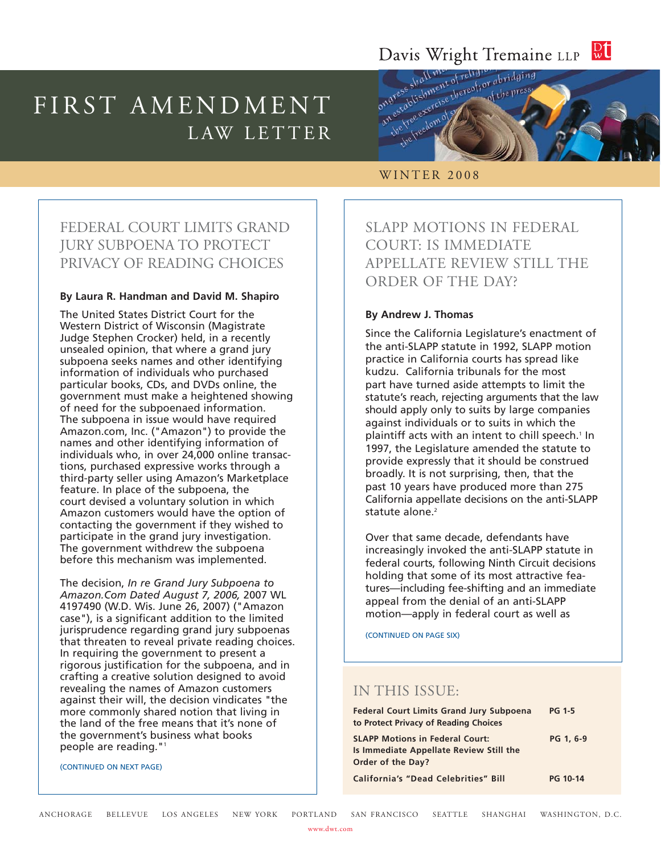#### $\frac{D}{W}$ Davis Wright Tremaine LLP

# FIRST AMENDMENT LAW LETTER



## WINTER 2008

# FEDERAL COURT LIMITS GRAND JURY SUBPOENA TO PROTECT PRIVACY OF READING CHOICES

#### **By Laura R. Handman and David M. Shapiro**

The United States District Court for the Western District of Wisconsin (Magistrate Judge Stephen Crocker) held, in a recently unsealed opinion, that where a grand jury subpoena seeks names and other identifying information of individuals who purchased particular books, CDs, and DVDs online, the government must make a heightened showing of need for the subpoenaed information. The subpoena in issue would have required Amazon.com, Inc. ("Amazon") to provide the names and other identifying information of individuals who, in over 24,000 online transactions, purchased expressive works through a third-party seller using Amazon's Marketplace feature. In place of the subpoena, the court devised a voluntary solution in which Amazon customers would have the option of contacting the government if they wished to participate in the grand jury investigation. The government withdrew the subpoena before this mechanism was implemented.

The decision, *In re Grand Jury Subpoena to Amazon.Com Dated August 7, 2006,* 2007 WL 4197490 (W.D. Wis. June 26, 2007) ("Amazon case"), is a significant addition to the limited jurisprudence regarding grand jury subpoenas that threaten to reveal private reading choices. In requiring the government to present a rigorous justification for the subpoena, and in crafting a creative solution designed to avoid revealing the names of Amazon customers against their will, the decision vindicates "the more commonly shared notion that living in the land of the free means that it's none of the government's business what books people are reading."1

(CONTINUED ON NEXT PAGE)

SLAPP MOTIONS IN FEDERAL COURT: IS IMMEDIATE APPELLATE REVIEW STILL THE ORDER OF THE DAY?

#### **By Andrew J. Thomas**

Since the California Legislature's enactment of the anti-SLAPP statute in 1992, SLAPP motion practice in California courts has spread like kudzu. California tribunals for the most part have turned aside attempts to limit the statute's reach, rejecting arguments that the law should apply only to suits by large companies against individuals or to suits in which the plaintiff acts with an intent to chill speech.<sup>1</sup> In 1997, the Legislature amended the statute to provide expressly that it should be construed broadly. It is not surprising, then, that the past 10 years have produced more than 275 California appellate decisions on the anti-SLAPP statute alone.<sup>2</sup>

Over that same decade, defendants have increasingly invoked the anti-SLAPP statute in federal courts, following Ninth Circuit decisions holding that some of its most attractive features—including fee-shifting and an immediate appeal from the denial of an anti-SLAPP motion—apply in federal court as well as

(CONTINUED ON PAGE SIX)

# IN THIS ISSUE:

| <b>Federal Court Limits Grand Jury Subpoena</b><br>to Protect Privacy of Reading Choices                      | <b>PG 1-5</b>   |
|---------------------------------------------------------------------------------------------------------------|-----------------|
| <b>SLAPP Motions in Federal Court:</b><br>Is Immediate Appellate Review Still the<br><b>Order of the Day?</b> | PG 1, 6-9       |
| <b>California's "Dead Celebrities" Bill</b>                                                                   | <b>PG 10-14</b> |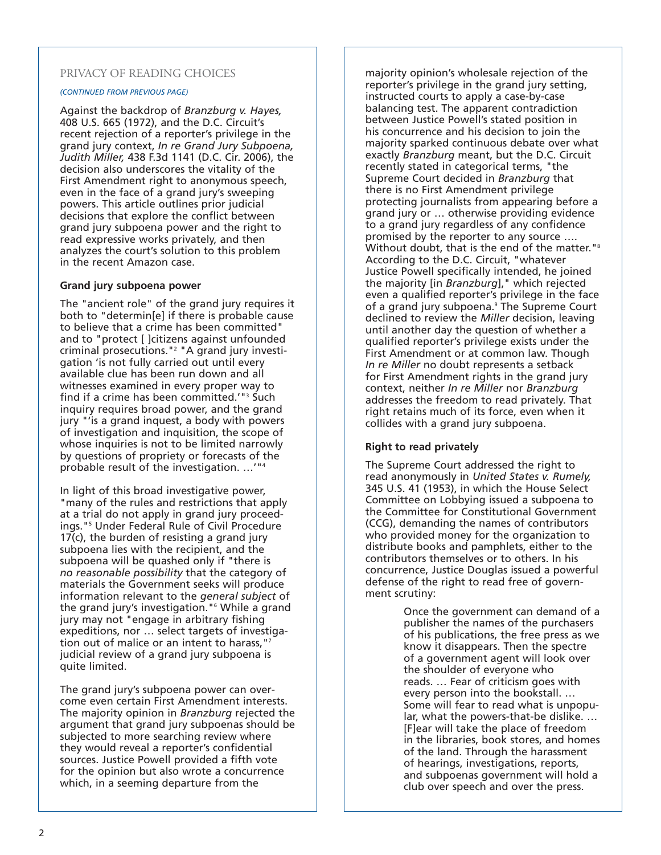# PRIVACY OF READING CHOICES

#### *(CONTINUED FROM PREVIOUS PAGE)*

Against the backdrop of *Branzburg v. Hayes,* 408 U.S. 665 (1972), and the D.C. Circuit's recent rejection of a reporter's privilege in the grand jury context, *In re Grand Jury Subpoena, Judith Miller,* 438 F.3d 1141 (D.C. Cir. 2006), the decision also underscores the vitality of the First Amendment right to anonymous speech, even in the face of a grand jury's sweeping powers. This article outlines prior judicial decisions that explore the conflict between grand jury subpoena power and the right to read expressive works privately, and then analyzes the court's solution to this problem in the recent Amazon case.

#### **Grand jury subpoena power**

The "ancient role" of the grand jury requires it both to "determin[e] if there is probable cause to believe that a crime has been committed" and to "protect [ ]citizens against unfounded criminal prosecutions."2 "A grand jury investigation 'is not fully carried out until every available clue has been run down and all witnesses examined in every proper way to find if a crime has been committed.'"3 Such inquiry requires broad power, and the grand jury "'is a grand inquest, a body with powers of investigation and inquisition, the scope of whose inquiries is not to be limited narrowly by questions of propriety or forecasts of the probable result of the investigation. …'"4

In light of this broad investigative power, "many of the rules and restrictions that apply at a trial do not apply in grand jury proceedings."5 Under Federal Rule of Civil Procedure 17(c), the burden of resisting a grand jury subpoena lies with the recipient, and the subpoena will be quashed only if "there is *no reasonable possibility* that the category of materials the Government seeks will produce information relevant to the *general subject* of the grand jury's investigation."6 While a grand jury may not "engage in arbitrary fishing expeditions, nor … select targets of investigation out of malice or an intent to harass, "7 judicial review of a grand jury subpoena is quite limited.

The grand jury's subpoena power can overcome even certain First Amendment interests. The majority opinion in *Branzburg* rejected the argument that grand jury subpoenas should be subjected to more searching review where they would reveal a reporter's confidential sources. Justice Powell provided a fifth vote for the opinion but also wrote a concurrence which, in a seeming departure from the

majority opinion's wholesale rejection of the reporter's privilege in the grand jury setting, instructed courts to apply a case-by-case balancing test. The apparent contradiction between Justice Powell's stated position in his concurrence and his decision to join the majority sparked continuous debate over what exactly *Branzburg* meant, but the D.C. Circuit recently stated in categorical terms, "the Supreme Court decided in *Branzburg* that there is no First Amendment privilege protecting journalists from appearing before a grand jury or … otherwise providing evidence to a grand jury regardless of any confidence promised by the reporter to any source …. Without doubt, that is the end of the matter."<sup>8</sup> According to the D.C. Circuit, "whatever Justice Powell specifically intended, he joined the majority [in *Branzburg*]," which rejected even a qualified reporter's privilege in the face of a grand jury subpoena.<sup>9</sup> The Supreme Court declined to review the *Miller* decision, leaving until another day the question of whether a qualified reporter's privilege exists under the First Amendment or at common law. Though *In re Miller* no doubt represents a setback for First Amendment rights in the grand jury context, neither *In re Miller* nor *Branzburg* addresses the freedom to read privately. That right retains much of its force, even when it collides with a grand jury subpoena.

# **Right to read privately**

The Supreme Court addressed the right to read anonymously in *United States v. Rumely,* 345 U.S. 41 (1953), in which the House Select Committee on Lobbying issued a subpoena to the Committee for Constitutional Government (CCG), demanding the names of contributors who provided money for the organization to distribute books and pamphlets, either to the contributors themselves or to others. In his concurrence, Justice Douglas issued a powerful defense of the right to read free of government scrutiny:

> Once the government can demand of a publisher the names of the purchasers of his publications, the free press as we know it disappears. Then the spectre of a government agent will look over the shoulder of everyone who reads. … Fear of criticism goes with every person into the bookstall. … Some will fear to read what is unpopular, what the powers-that-be dislike. … [F]ear will take the place of freedom in the libraries, book stores, and homes of the land. Through the harassment of hearings, investigations, reports, and subpoenas government will hold a club over speech and over the press.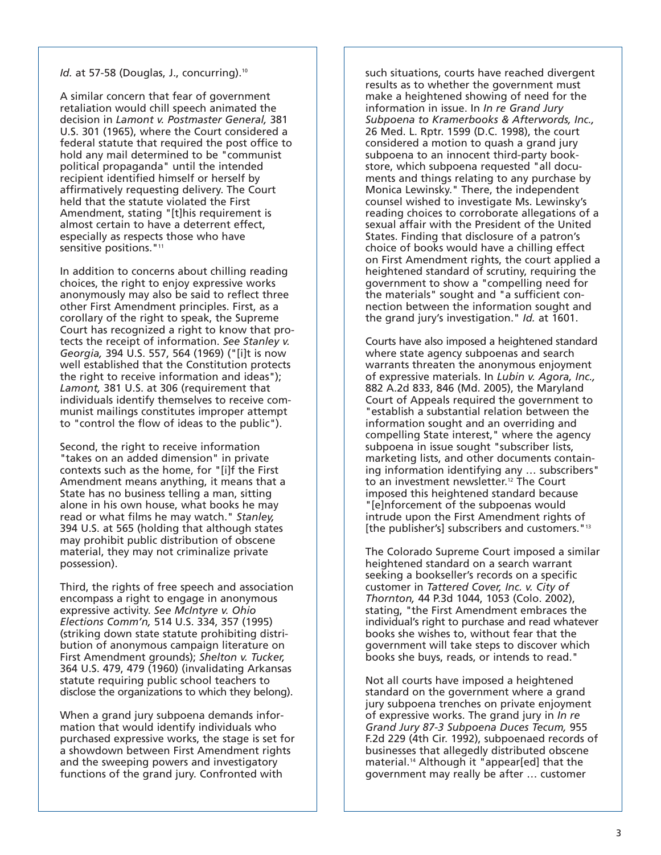#### *Id.* at 57-58 (Douglas, J., concurring).<sup>10</sup>

A similar concern that fear of government retaliation would chill speech animated the decision in *Lamont v. Postmaster General,* 381 U.S. 301 (1965), where the Court considered a federal statute that required the post office to hold any mail determined to be "communist political propaganda" until the intended recipient identified himself or herself by affirmatively requesting delivery. The Court held that the statute violated the First Amendment, stating "[t]his requirement is almost certain to have a deterrent effect, especially as respects those who have sensitive positions."<sup>11</sup>

In addition to concerns about chilling reading choices, the right to enjoy expressive works anonymously may also be said to reflect three other First Amendment principles. First, as a corollary of the right to speak, the Supreme Court has recognized a right to know that protects the receipt of information. *See Stanley v. Georgia,* 394 U.S. 557, 564 (1969) ("[i]t is now well established that the Constitution protects the right to receive information and ideas"); *Lamont,* 381 U.S. at 306 (requirement that individuals identify themselves to receive communist mailings constitutes improper attempt to "control the flow of ideas to the public").

Second, the right to receive information "takes on an added dimension" in private contexts such as the home, for "[i]f the First Amendment means anything, it means that a State has no business telling a man, sitting alone in his own house, what books he may read or what films he may watch." *Stanley,* 394 U.S. at 565 (holding that although states may prohibit public distribution of obscene material, they may not criminalize private possession).

Third, the rights of free speech and association encompass a right to engage in anonymous expressive activity. *See McIntyre v. Ohio Elections Comm'n,* 514 U.S. 334, 357 (1995) (striking down state statute prohibiting distribution of anonymous campaign literature on First Amendment grounds); *Shelton v. Tucker,* 364 U.S. 479, 479 (1960) (invalidating Arkansas statute requiring public school teachers to disclose the organizations to which they belong).

When a grand jury subpoena demands information that would identify individuals who purchased expressive works, the stage is set for a showdown between First Amendment rights and the sweeping powers and investigatory functions of the grand jury. Confronted with

such situations, courts have reached divergent results as to whether the government must make a heightened showing of need for the information in issue. In *In re Grand Jury Subpoena to Kramerbooks & Afterwords, Inc.,* 26 Med. L. Rptr. 1599 (D.C. 1998), the court considered a motion to quash a grand jury subpoena to an innocent third-party bookstore, which subpoena requested "all documents and things relating to any purchase by Monica Lewinsky." There, the independent counsel wished to investigate Ms. Lewinsky's reading choices to corroborate allegations of a sexual affair with the President of the United States. Finding that disclosure of a patron's choice of books would have a chilling effect on First Amendment rights, the court applied a heightened standard of scrutiny, requiring the government to show a "compelling need for the materials" sought and "a sufficient connection between the information sought and the grand jury's investigation." *Id.* at 1601.

Courts have also imposed a heightened standard where state agency subpoenas and search warrants threaten the anonymous enjoyment of expressive materials. In *Lubin v. Agora, Inc.,* 882 A.2d 833, 846 (Md. 2005), the Maryland Court of Appeals required the government to "establish a substantial relation between the information sought and an overriding and compelling State interest," where the agency subpoena in issue sought "subscriber lists, marketing lists, and other documents containing information identifying any … subscribers" to an investment newsletter.<sup>12</sup> The Court imposed this heightened standard because "[e]nforcement of the subpoenas would intrude upon the First Amendment rights of [the publisher's] subscribers and customers."<sup>13</sup>

The Colorado Supreme Court imposed a similar heightened standard on a search warrant seeking a bookseller's records on a specific customer in *Tattered Cover, Inc. v. City of Thornton,* 44 P.3d 1044, 1053 (Colo. 2002), stating, "the First Amendment embraces the individual's right to purchase and read whatever books she wishes to, without fear that the government will take steps to discover which books she buys, reads, or intends to read."

Not all courts have imposed a heightened standard on the government where a grand jury subpoena trenches on private enjoyment of expressive works. The grand jury in *In re Grand Jury 87-3 Subpoena Duces Tecum,* 955 F.2d 229 (4th Cir. 1992), subpoenaed records of businesses that allegedly distributed obscene material.14 Although it "appear[ed] that the government may really be after … customer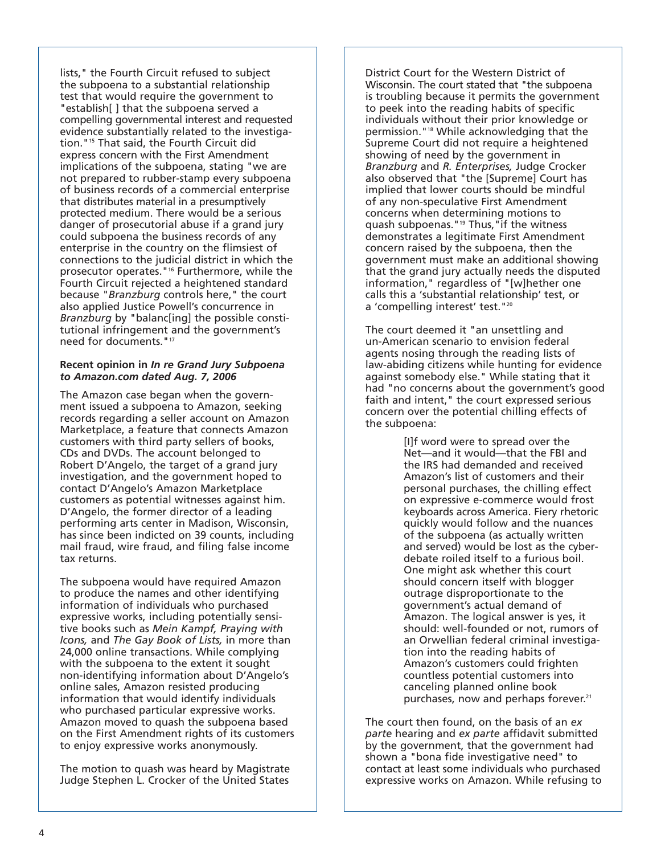lists," the Fourth Circuit refused to subject the subpoena to a substantial relationship test that would require the government to "establish[ ] that the subpoena served a compelling governmental interest and requested evidence substantially related to the investigation."15 That said, the Fourth Circuit did express concern with the First Amendment implications of the subpoena, stating "we are not prepared to rubber-stamp every subpoena of business records of a commercial enterprise that distributes material in a presumptively protected medium. There would be a serious danger of prosecutorial abuse if a grand jury could subpoena the business records of any enterprise in the country on the flimsiest of connections to the judicial district in which the prosecutor operates."16 Furthermore, while the Fourth Circuit rejected a heightened standard because "*Branzburg* controls here," the court also applied Justice Powell's concurrence in *Branzburg* by "balanc[ing] the possible constitutional infringement and the government's need for documents."17

#### **Recent opinion in** *In re Grand Jury Subpoena to Amazon.com dated Aug. 7, 2006*

The Amazon case began when the government issued a subpoena to Amazon, seeking records regarding a seller account on Amazon Marketplace, a feature that connects Amazon customers with third party sellers of books, CDs and DVDs. The account belonged to Robert D'Angelo, the target of a grand jury investigation, and the government hoped to contact D'Angelo's Amazon Marketplace customers as potential witnesses against him. D'Angelo, the former director of a leading performing arts center in Madison, Wisconsin, has since been indicted on 39 counts, including mail fraud, wire fraud, and filing false income tax returns.

The subpoena would have required Amazon to produce the names and other identifying information of individuals who purchased expressive works, including potentially sensitive books such as *Mein Kampf, Praying with Icons,* and *The Gay Book of Lists,* in more than 24,000 online transactions. While complying with the subpoena to the extent it sought non-identifying information about D'Angelo's online sales, Amazon resisted producing information that would identify individuals who purchased particular expressive works. Amazon moved to quash the subpoena based on the First Amendment rights of its customers to enjoy expressive works anonymously.

The motion to quash was heard by Magistrate Judge Stephen L. Crocker of the United States

District Court for the Western District of Wisconsin. The court stated that "the subpoena is troubling because it permits the government to peek into the reading habits of specific individuals without their prior knowledge or permission."18 While acknowledging that the Supreme Court did not require a heightened showing of need by the government in *Branzburg* and *R. Enterprises,* Judge Crocker also observed that "the [Supreme] Court has implied that lower courts should be mindful of any non-speculative First Amendment concerns when determining motions to quash subpoenas."19 Thus,"if the witness demonstrates a legitimate First Amendment concern raised by the subpoena, then the government must make an additional showing that the grand jury actually needs the disputed information," regardless of "[w]hether one calls this a 'substantial relationship' test, or a 'compelling interest' test."20

The court deemed it "an unsettling and un-American scenario to envision federal agents nosing through the reading lists of law-abiding citizens while hunting for evidence against somebody else." While stating that it had "no concerns about the government's good faith and intent," the court expressed serious concern over the potential chilling effects of the subpoena:

> [I]f word were to spread over the Net—and it would—that the FBI and the IRS had demanded and received Amazon's list of customers and their personal purchases, the chilling effect on expressive e-commerce would frost keyboards across America. Fiery rhetoric quickly would follow and the nuances of the subpoena (as actually written and served) would be lost as the cyberdebate roiled itself to a furious boil. One might ask whether this court should concern itself with blogger outrage disproportionate to the government's actual demand of Amazon. The logical answer is yes, it should: well-founded or not, rumors of an Orwellian federal criminal investigation into the reading habits of Amazon's customers could frighten countless potential customers into canceling planned online book purchases, now and perhaps forever.<sup>21</sup>

The court then found, on the basis of an *ex parte* hearing and *ex parte* affidavit submitted by the government, that the government had shown a "bona fide investigative need" to contact at least some individuals who purchased expressive works on Amazon. While refusing to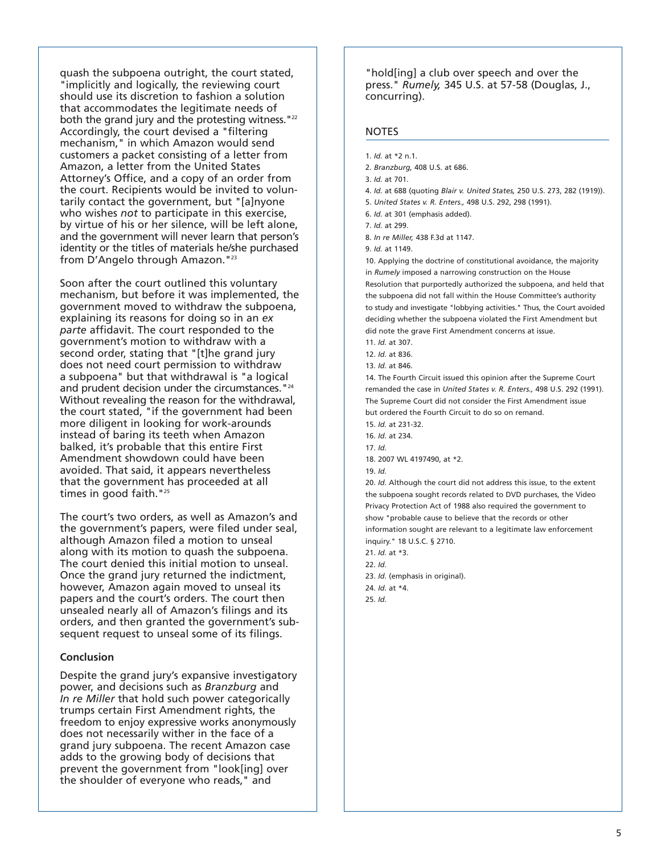quash the subpoena outright, the court stated, "implicitly and logically, the reviewing court should use its discretion to fashion a solution that accommodates the legitimate needs of both the grand jury and the protesting witness. "22 Accordingly, the court devised a "filtering mechanism," in which Amazon would send customers a packet consisting of a letter from Amazon, a letter from the United States Attorney's Office, and a copy of an order from the court. Recipients would be invited to voluntarily contact the government, but "[a]nyone who wishes *not* to participate in this exercise, by virtue of his or her silence, will be left alone, and the government will never learn that person's identity or the titles of materials he/she purchased from D'Angelo through Amazon."23

Soon after the court outlined this voluntary mechanism, but before it was implemented, the government moved to withdraw the subpoena, explaining its reasons for doing so in an *ex parte* affidavit. The court responded to the government's motion to withdraw with a second order, stating that "[t]he grand jury does not need court permission to withdraw a subpoena" but that withdrawal is "a logical and prudent decision under the circumstances. "<sup>24</sup> Without revealing the reason for the withdrawal, the court stated, "if the government had been more diligent in looking for work-arounds instead of baring its teeth when Amazon balked, it's probable that this entire First Amendment showdown could have been avoided. That said, it appears nevertheless that the government has proceeded at all times in good faith."<sup>25</sup>

The court's two orders, as well as Amazon's and the government's papers, were filed under seal, although Amazon filed a motion to unseal along with its motion to quash the subpoena. The court denied this initial motion to unseal. Once the grand jury returned the indictment, however, Amazon again moved to unseal its papers and the court's orders. The court then unsealed nearly all of Amazon's filings and its orders, and then granted the government's subsequent request to unseal some of its filings.

#### **Conclusion**

Despite the grand jury's expansive investigatory power, and decisions such as *Branzburg* and *In re Miller* that hold such power categorically trumps certain First Amendment rights, the freedom to enjoy expressive works anonymously does not necessarily wither in the face of a grand jury subpoena. The recent Amazon case adds to the growing body of decisions that prevent the government from "look[ing] over the shoulder of everyone who reads," and

"hold[ing] a club over speech and over the press." *Rumely,* 345 U.S. at 57-58 (Douglas, J., concurring).

#### **NOTES**

- 1. *Id.* at \*2 n.1.
- 2. *Branzburg,* 408 U.S. at 686.
- 3. *Id.* at 701.
- 4. *Id.* at 688 (quoting *Blair v. United States,* 250 U.S. 273, 282 (1919)).
- 5. *United States v. R. Enters.,* 498 U.S. 292, 298 (1991).
- 6. *Id.* at 301 (emphasis added).

- 8. *In re Miller,* 438 F.3d at 1147.
- 9. *Id.* at 1149.

10. Applying the doctrine of constitutional avoidance, the majority in *Rumely* imposed a narrowing construction on the House Resolution that purportedly authorized the subpoena, and held that the subpoena did not fall within the House Committee's authority to study and investigate "lobbying activities." Thus, the Court avoided deciding whether the subpoena violated the First Amendment but did note the grave First Amendment concerns at issue.

11. *Id.* at 307.

13. *Id.* at 846.

14. The Fourth Circuit issued this opinion after the Supreme Court remanded the case in *United States v. R. Enters.,* 498 U.S. 292 (1991). The Supreme Court did not consider the First Amendment issue but ordered the Fourth Circuit to do so on remand.

15. *Id.* at 231-32.

17. *Id.*

20. *Id.* Although the court did not address this issue, to the extent the subpoena sought records related to DVD purchases, the Video Privacy Protection Act of 1988 also required the government to show "probable cause to believe that the records or other information sought are relevant to a legitimate law enforcement inquiry." 18 U.S.C. § 2710.

21. *Id.* at \*3. 22. *Id.* 23. *Id.* (emphasis in original). 24. *Id.* at \*4. 25. *Id.*

<sup>7.</sup> *Id.* at 299.

<sup>12.</sup> *Id.* at 836.

<sup>16.</sup> *Id.* at 234.

<sup>18. 2007</sup> WL 4197490, at \*2.

<sup>19.</sup> *Id.*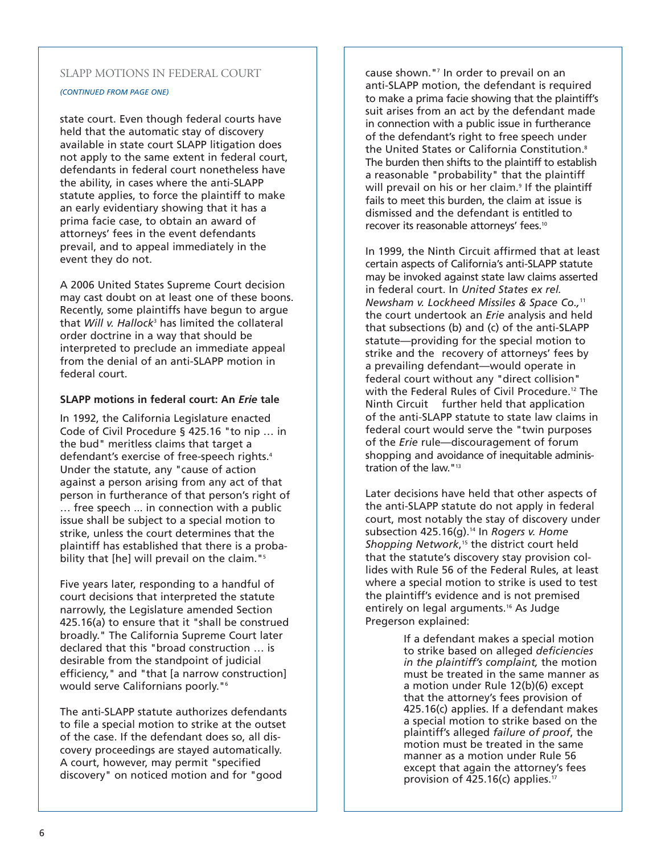## SLAPP MOTIONS IN FEDERAL COURT

*(CONTINUED FROM PAGE ONE)*

state court. Even though federal courts have held that the automatic stay of discovery available in state court SLAPP litigation does not apply to the same extent in federal court, defendants in federal court nonetheless have the ability, in cases where the anti-SLAPP statute applies, to force the plaintiff to make an early evidentiary showing that it has a prima facie case, to obtain an award of attorneys' fees in the event defendants prevail, and to appeal immediately in the event they do not.

A 2006 United States Supreme Court decision may cast doubt on at least one of these boons. Recently, some plaintiffs have begun to argue that *Will v. Hallock*<sup>3</sup> has limited the collateral order doctrine in a way that should be interpreted to preclude an immediate appeal from the denial of an anti-SLAPP motion in federal court.

#### **SLAPP motions in federal court: An** *Erie* **tale**

In 1992, the California Legislature enacted Code of Civil Procedure § 425.16 "to nip … in the bud" meritless claims that target a defendant's exercise of free-speech rights.<sup>4</sup> Under the statute, any "cause of action against a person arising from any act of that person in furtherance of that person's right of … free speech ... in connection with a public issue shall be subject to a special motion to strike, unless the court determines that the plaintiff has established that there is a probability that [he] will prevail on the claim."<sup>5</sup>

Five years later, responding to a handful of court decisions that interpreted the statute narrowly, the Legislature amended Section 425.16(a) to ensure that it "shall be construed broadly." The California Supreme Court later declared that this "broad construction … is desirable from the standpoint of judicial efficiency," and "that [a narrow construction] would serve Californians poorly."<sup>6</sup>

The anti-SLAPP statute authorizes defendants to file a special motion to strike at the outset of the case. If the defendant does so, all discovery proceedings are stayed automatically. A court, however, may permit "specified discovery" on noticed motion and for "good

cause shown."7 In order to prevail on an anti-SLAPP motion, the defendant is required to make a prima facie showing that the plaintiff's suit arises from an act by the defendant made in connection with a public issue in furtherance of the defendant's right to free speech under the United States or California Constitution.8 The burden then shifts to the plaintiff to establish a reasonable "probability" that the plaintiff will prevail on his or her claim.<sup>9</sup> If the plaintiff fails to meet this burden, the claim at issue is dismissed and the defendant is entitled to recover its reasonable attorneys' fees.<sup>10</sup>

In 1999, the Ninth Circuit affirmed that at least certain aspects of California's anti-SLAPP statute may be invoked against state law claims asserted in federal court. In *United States ex rel. Newsham v. Lockheed Missiles & Space Co.,*<sup>11</sup> the court undertook an *Erie* analysis and held that subsections (b) and (c) of the anti-SLAPP statute—providing for the special motion to strike and the recovery of attorneys' fees by a prevailing defendant—would operate in federal court without any "direct collision" with the Federal Rules of Civil Procedure.<sup>12</sup> The Ninth Circuit further held that application of the anti-SLAPP statute to state law claims in federal court would serve the "twin purposes of the *Erie* rule—discouragement of forum shopping and avoidance of inequitable administration of the law."13

Later decisions have held that other aspects of the anti-SLAPP statute do not apply in federal court, most notably the stay of discovery under subsection 425.16(g).<sup>14</sup> In *Rogers v. Home* Shopping Network,<sup>15</sup> the district court held that the statute's discovery stay provision collides with Rule 56 of the Federal Rules, at least where a special motion to strike is used to test the plaintiff's evidence and is not premised entirely on legal arguments.<sup>16</sup> As Judge Pregerson explained:

> If a defendant makes a special motion to strike based on alleged *deficiencies in the plaintiff's complaint,* the motion must be treated in the same manner as a motion under Rule 12(b)(6) except that the attorney's fees provision of 425.16(c) applies. If a defendant makes a special motion to strike based on the plaintiff's alleged *failure of proof*, the motion must be treated in the same manner as a motion under Rule 56 except that again the attorney's fees provision of 425.16(c) applies.<sup>17</sup>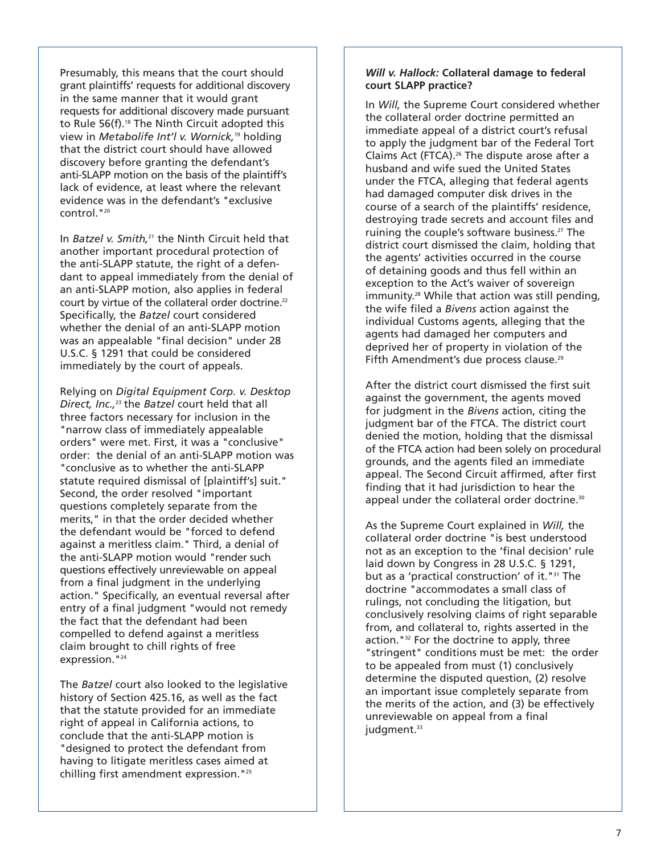Presumably, this means that the court should grant plaintiffs' requests for additional discovery in the same manner that it would grant requests for additional discovery made pursuant to Rule 56(f).<sup>18</sup> The Ninth Circuit adopted this view in *Metabolife Int'l v. Wornick,*<sup>19</sup> holding that the district court should have allowed discovery before granting the defendant's anti-SLAPP motion on the basis of the plaintiff's lack of evidence, at least where the relevant evidence was in the defendant's "exclusive control."20

In *Batzel v. Smith,*<sup>21</sup> the Ninth Circuit held that another important procedural protection of the anti-SLAPP statute, the right of a defendant to appeal immediately from the denial of an anti-SLAPP motion, also applies in federal court by virtue of the collateral order doctrine.<sup>22</sup> Specifically, the *Batzel* court considered whether the denial of an anti-SLAPP motion was an appealable "final decision" under 28 U.S.C. § 1291 that could be considered immediately by the court of appeals.

Relying on *Digital Equipment Corp. v. Desktop Direct, Inc.,*<sup>23</sup> the *Batzel* court held that all three factors necessary for inclusion in the "narrow class of immediately appealable orders" were met. First, it was a "conclusive" order: the denial of an anti-SLAPP motion was "conclusive as to whether the anti-SLAPP statute required dismissal of [plaintiff's] suit." Second, the order resolved "important questions completely separate from the merits," in that the order decided whether the defendant would be "forced to defend against a meritless claim." Third, a denial of the anti-SLAPP motion would "render such questions effectively unreviewable on appeal from a final judgment in the underlying action." Specifically, an eventual reversal after entry of a final judgment "would not remedy the fact that the defendant had been compelled to defend against a meritless claim brought to chill rights of free expression.<sup>"24</sup>

The *Batzel* court also looked to the legislative history of Section 425.16, as well as the fact that the statute provided for an immediate right of appeal in California actions, to conclude that the anti-SLAPP motion is "designed to protect the defendant from having to litigate meritless cases aimed at chilling first amendment expression."25

#### *Will v. Hallock:* **Collateral damage to federal court SLAPP practice?**

In *Will,* the Supreme Court considered whether the collateral order doctrine permitted an immediate appeal of a district court's refusal to apply the judgment bar of the Federal Tort Claims Act (FTCA).26 The dispute arose after a husband and wife sued the United States under the FTCA, alleging that federal agents had damaged computer disk drives in the course of a search of the plaintiffs' residence, destroying trade secrets and account files and ruining the couple's software business.<sup>27</sup> The district court dismissed the claim, holding that the agents' activities occurred in the course of detaining goods and thus fell within an exception to the Act's waiver of sovereign immunity.<sup>28</sup> While that action was still pending, the wife filed a *Bivens* action against the individual Customs agents, alleging that the agents had damaged her computers and deprived her of property in violation of the Fifth Amendment's due process clause.<sup>29</sup>

After the district court dismissed the first suit against the government, the agents moved for judgment in the *Bivens* action, citing the judgment bar of the FTCA. The district court denied the motion, holding that the dismissal of the FTCA action had been solely on procedural grounds, and the agents filed an immediate appeal. The Second Circuit affirmed, after first finding that it had jurisdiction to hear the appeal under the collateral order doctrine.<sup>30</sup>

As the Supreme Court explained in *Will,* the collateral order doctrine "is best understood not as an exception to the 'final decision' rule laid down by Congress in 28 U.S.C. § 1291, but as a 'practical construction' of it."31 The doctrine "accommodates a small class of rulings, not concluding the litigation, but conclusively resolving claims of right separable from, and collateral to, rights asserted in the action."32 For the doctrine to apply, three "stringent" conditions must be met: the order to be appealed from must (1) conclusively determine the disputed question, (2) resolve an important issue completely separate from the merits of the action, and (3) be effectively unreviewable on appeal from a final judgment.<sup>33</sup>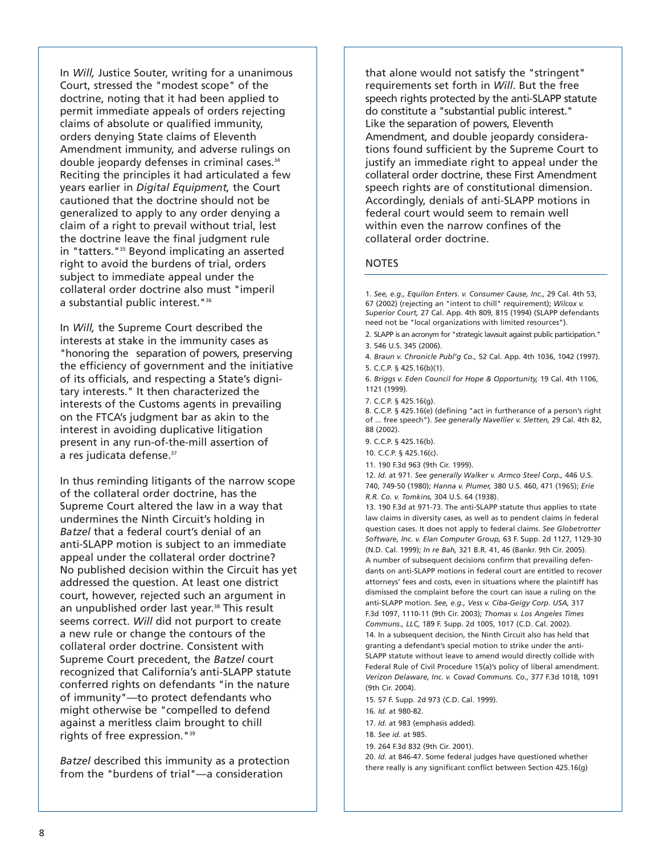In *Will,* Justice Souter, writing for a unanimous Court, stressed the "modest scope" of the doctrine, noting that it had been applied to permit immediate appeals of orders rejecting claims of absolute or qualified immunity, orders denying State claims of Eleventh Amendment immunity, and adverse rulings on double jeopardy defenses in criminal cases.34 Reciting the principles it had articulated a few years earlier in *Digital Equipment,* the Court cautioned that the doctrine should not be generalized to apply to any order denying a claim of a right to prevail without trial, lest the doctrine leave the final judgment rule in "tatters."<sup>35</sup> Beyond implicating an asserted right to avoid the burdens of trial, orders subject to immediate appeal under the collateral order doctrine also must "imperil a substantial public interest."36

In *Will,* the Supreme Court described the interests at stake in the immunity cases as "honoring the separation of powers, preserving the efficiency of government and the initiative of its officials, and respecting a State's dignitary interests." It then characterized the interests of the Customs agents in prevailing on the FTCA's judgment bar as akin to the interest in avoiding duplicative litigation present in any run-of-the-mill assertion of a res judicata defense.<sup>37</sup>

In thus reminding litigants of the narrow scope of the collateral order doctrine, has the Supreme Court altered the law in a way that undermines the Ninth Circuit's holding in *Batzel* that a federal court's denial of an anti-SLAPP motion is subject to an immediate appeal under the collateral order doctrine? No published decision within the Circuit has yet addressed the question. At least one district court, however, rejected such an argument in an unpublished order last year.<sup>38</sup> This result seems correct. *Will* did not purport to create a new rule or change the contours of the collateral order doctrine. Consistent with Supreme Court precedent, the *Batzel* court recognized that California's anti-SLAPP statute conferred rights on defendants "in the nature of immunity"—to protect defendants who might otherwise be "compelled to defend against a meritless claim brought to chill rights of free expression."39

*Batzel* described this immunity as a protection from the "burdens of trial"—a consideration

that alone would not satisfy the "stringent" requirements set forth in *Will*. But the free speech rights protected by the anti-SLAPP statute do constitute a "substantial public interest." Like the separation of powers, Eleventh Amendment, and double jeopardy considerations found sufficient by the Supreme Court to justify an immediate right to appeal under the collateral order doctrine, these First Amendment speech rights are of constitutional dimension. Accordingly, denials of anti-SLAPP motions in federal court would seem to remain well within even the narrow confines of the collateral order doctrine.

#### **NOTES**

1. *See, e.g., Equilon Enters. v. Consumer Cause, Inc.,* 29 Cal. 4th 53, 67 (2002) (rejecting an "intent to chill" requirement); *Wilcox v. Superior Court,* 27 Cal. App. 4th 809, 815 (1994) (SLAPP defendants need not be "local organizations with limited resources").

2. SLAPP is an acronym for "strategic lawsuit against public participation." 3. 546 U.S. 345 (2006).

4. *Braun v. Chronicle Publ'g Co.,* 52 Cal. App. 4th 1036, 1042 (1997). 5. C.C.P. § 425.16(b)(1).

6. *Briggs v. Eden Council for Hope & Opportunity,* 19 Cal. 4th 1106, 1121 (1999).

7. C.C.P. § 425.16(g).

8. C.C.P. § 425.16(e) (defining "act in furtherance of a person's right of ... free speech"). *See generally Navellier v. Sletten,* 29 Cal. 4th 82, 88 (2002).

9. C.C.P. § 425.16(b).

10. C.C.P. § 425.16(c).

11. 190 F.3d 963 (9th Cir. 1999).

12. *Id.* at 971. *See generally Walker v. Armco Steel Corp.,* 446 U.S. 740, 749-50 (1980); *Hanna v. Plumer,* 380 U.S. 460, 471 (1965); *Erie R.R. Co. v. Tomkins,* 304 U.S. 64 (1938).

13. 190 F.3d at 971-73. The anti-SLAPP statute thus applies to state law claims in diversity cases, as well as to pendent claims in federal question cases. It does not apply to federal claims. *See Globetrotter Software, Inc. v. Elan Computer Group,* 63 F. Supp. 2d 1127, 1129-30 (N.D. Cal. 1999); *In re Bah,* 321 B.R. 41, 46 (Bankr. 9th Cir. 2005). A number of subsequent decisions confirm that prevailing defendants on anti-SLAPP motions in federal court are entitled to recover attorneys' fees and costs, even in situations where the plaintiff has dismissed the complaint before the court can issue a ruling on the anti-SLAPP motion. *See, e.g., Vess v. Ciba-Geigy Corp. USA,* 317 F.3d 1097, 1110-11 (9th Cir. 2003); *Thomas v. Los Angeles Times Communs., LLC,* 189 F. Supp. 2d 1005, 1017 (C.D. Cal. 2002). 14. In a subsequent decision, the Ninth Circuit also has held that granting a defendant's special motion to strike under the anti-SLAPP statute without leave to amend would directly collide with Federal Rule of Civil Procedure 15(a)'s policy of liberal amendment. *Verizon Delaware, Inc. v. Covad Communs. Co.,* 377 F.3d 1018, 1091 (9th Cir. 2004).

15. 57 F. Supp. 2d 973 (C.D. Cal. 1999).

16. *Id.* at 980-82.

17. *Id.* at 983 (emphasis added).

18. *See id.* at 985.

19. 264 F.3d 832 (9th Cir. 2001).

20. *Id.* at 846-47. Some federal judges have questioned whether there really is any significant conflict between Section 425.16(g)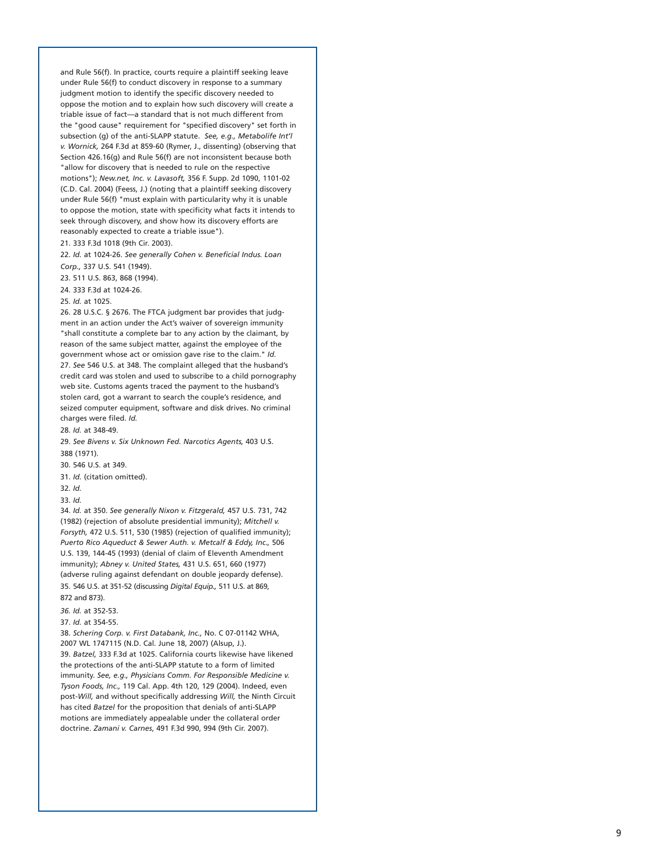and Rule 56(f). In practice, courts require a plaintiff seeking leave under Rule 56(f) to conduct discovery in response to a summary judgment motion to identify the specific discovery needed to oppose the motion and to explain how such discovery will create a triable issue of fact—a standard that is not much different from the "good cause" requirement for "specified discovery" set forth in subsection (g) of the anti-SLAPP statute. *See, e.g., Metabolife Int'l v. Wornick,* 264 F.3d at 859-60 (Rymer, J., dissenting) (observing that Section 426.16(g) and Rule 56(f) are not inconsistent because both "allow for discovery that is needed to rule on the respective motions"); *New.net, Inc. v. Lavasoft,* 356 F. Supp. 2d 1090, 1101-02 (C.D. Cal. 2004) (Feess, J.) (noting that a plaintiff seeking discovery under Rule 56(f) "must explain with particularity why it is unable to oppose the motion, state with specificity what facts it intends to seek through discovery, and show how its discovery efforts are reasonably expected to create a triable issue").

21. 333 F.3d 1018 (9th Cir. 2003).

22. *Id.* at 1024-26. *See generally Cohen v. Beneficial Indus. Loan Corp.,* 337 U.S. 541 (1949).

23. 511 U.S. 863, 868 (1994).

24. 333 F.3d at 1024-26.

25. *Id.* at 1025.

26. 28 U.S.C. § 2676. The FTCA judgment bar provides that judgment in an action under the Act's waiver of sovereign immunity "shall constitute a complete bar to any action by the claimant, by reason of the same subject matter, against the employee of the government whose act or omission gave rise to the claim." *Id.*  27. *See* 546 U.S. at 348. The complaint alleged that the husband's credit card was stolen and used to subscribe to a child pornography web site. Customs agents traced the payment to the husband's stolen card, got a warrant to search the couple's residence, and seized computer equipment, software and disk drives. No criminal charges were filed. *Id.* 

28. *Id.* at 348-49.

29. *See Bivens v. Six Unknown Fed. Narcotics Agents,* 403 U.S. 388 (1971).

30. 546 U.S. at 349.

31. *Id.* (citation omitted).

32. *Id.*

33. *Id.*

34. *Id.* at 350. *See generally Nixon v. Fitzgerald,* 457 U.S. 731, 742 (1982) (rejection of absolute presidential immunity); *Mitchell v. Forsyth,* 472 U.S. 511, 530 (1985) (rejection of qualified immunity); *Puerto Rico Aqueduct & Sewer Auth. v. Metcalf & Eddy, Inc.,* 506 U.S. 139, 144-45 (1993) (denial of claim of Eleventh Amendment immunity); *Abney v. United States,* 431 U.S. 651, 660 (1977) (adverse ruling against defendant on double jeopardy defense). 35. 546 U.S. at 351-52 (discussing *Digital Equip.,* 511 U.S. at 869, 872 and 873).

*36. Id.* at 352-53.

#### 37. *Id.* at 354-55.

38. *Schering Corp. v. First Databank, Inc.,* No. C 07-01142 WHA, 2007 WL 1747115 (N.D. Cal. June 18, 2007) (Alsup, J.). 39. *Batzel,* 333 F.3d at 1025. California courts likewise have likened the protections of the anti-SLAPP statute to a form of limited immunity. *See, e.g., Physicians Comm. For Responsible Medicine v. Tyson Foods, Inc.,* 119 Cal. App. 4th 120, 129 (2004). Indeed, even post-*Will,* and without specifically addressing *Will,* the Ninth Circuit has cited *Batzel* for the proposition that denials of anti-SLAPP motions are immediately appealable under the collateral order doctrine. *Zamani v. Carnes*, 491 F.3d 990, 994 (9th Cir. 2007).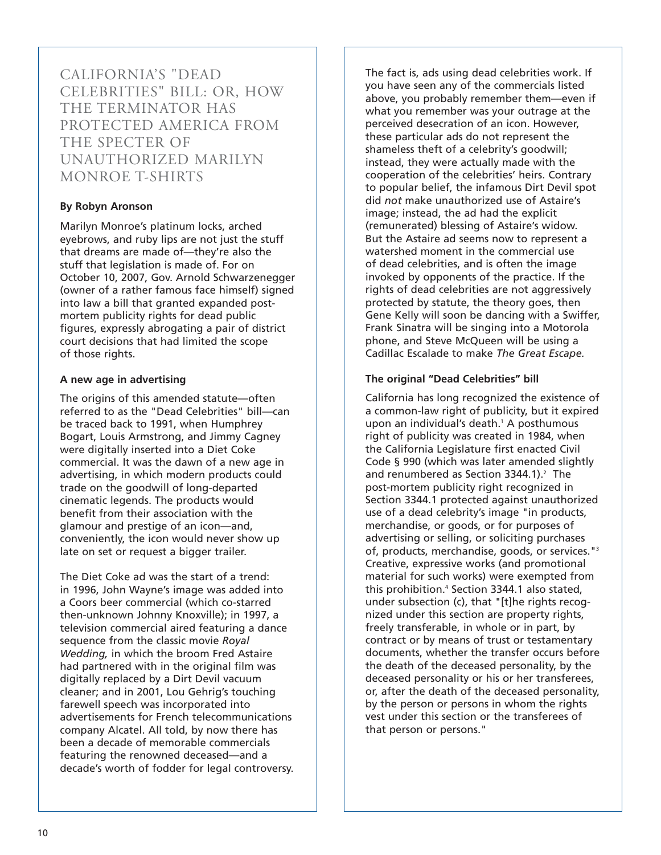CALIFORNIA'S "DEAD CELEBRITIES" BILL: OR, HOW THE TERMINATOR HAS PROTECTED AMERICA FROM THE SPECTER OF UNAUTHORIZED MARILYN MONROE T-SHIRTS

# **By Robyn Aronson**

Marilyn Monroe's platinum locks, arched eyebrows, and ruby lips are not just the stuff that dreams are made of—they're also the stuff that legislation is made of. For on October 10, 2007, Gov. Arnold Schwarzenegger (owner of a rather famous face himself) signed into law a bill that granted expanded postmortem publicity rights for dead public figures, expressly abrogating a pair of district court decisions that had limited the scope of those rights.

## **A new age in advertising**

The origins of this amended statute—often referred to as the "Dead Celebrities" bill—can be traced back to 1991, when Humphrey Bogart, Louis Armstrong, and Jimmy Cagney were digitally inserted into a Diet Coke commercial. It was the dawn of a new age in advertising, in which modern products could trade on the goodwill of long-departed cinematic legends. The products would benefit from their association with the glamour and prestige of an icon—and, conveniently, the icon would never show up late on set or request a bigger trailer.

The Diet Coke ad was the start of a trend: in 1996, John Wayne's image was added into a Coors beer commercial (which co-starred then-unknown Johnny Knoxville); in 1997, a television commercial aired featuring a dance sequence from the classic movie *Royal Wedding,* in which the broom Fred Astaire had partnered with in the original film was digitally replaced by a Dirt Devil vacuum cleaner; and in 2001, Lou Gehrig's touching farewell speech was incorporated into advertisements for French telecommunications company Alcatel. All told, by now there has been a decade of memorable commercials featuring the renowned deceased—and a decade's worth of fodder for legal controversy.

The fact is, ads using dead celebrities work. If you have seen any of the commercials listed above, you probably remember them—even if what you remember was your outrage at the perceived desecration of an icon. However, these particular ads do not represent the shameless theft of a celebrity's goodwill; instead, they were actually made with the cooperation of the celebrities' heirs. Contrary to popular belief, the infamous Dirt Devil spot did *not* make unauthorized use of Astaire's image; instead, the ad had the explicit (remunerated) blessing of Astaire's widow. But the Astaire ad seems now to represent a watershed moment in the commercial use of dead celebrities, and is often the image invoked by opponents of the practice. If the rights of dead celebrities are not aggressively protected by statute, the theory goes, then Gene Kelly will soon be dancing with a Swiffer, Frank Sinatra will be singing into a Motorola phone, and Steve McQueen will be using a Cadillac Escalade to make *The Great Escape.* 

# **The original "Dead Celebrities" bill**

California has long recognized the existence of a common-law right of publicity, but it expired upon an individual's death.<sup>1</sup> A posthumous right of publicity was created in 1984, when the California Legislature first enacted Civil Code § 990 (which was later amended slightly and renumbered as Section  $3344.1$ ).<sup>2</sup> The post-mortem publicity right recognized in Section 3344.1 protected against unauthorized use of a dead celebrity's image "in products, merchandise, or goods, or for purposes of advertising or selling, or soliciting purchases of, products, merchandise, goods, or services."3 Creative, expressive works (and promotional material for such works) were exempted from this prohibition.<sup>4</sup> Section 3344.1 also stated, under subsection (c), that "[t]he rights recognized under this section are property rights, freely transferable, in whole or in part, by contract or by means of trust or testamentary documents, whether the transfer occurs before the death of the deceased personality, by the deceased personality or his or her transferees, or, after the death of the deceased personality, by the person or persons in whom the rights vest under this section or the transferees of that person or persons."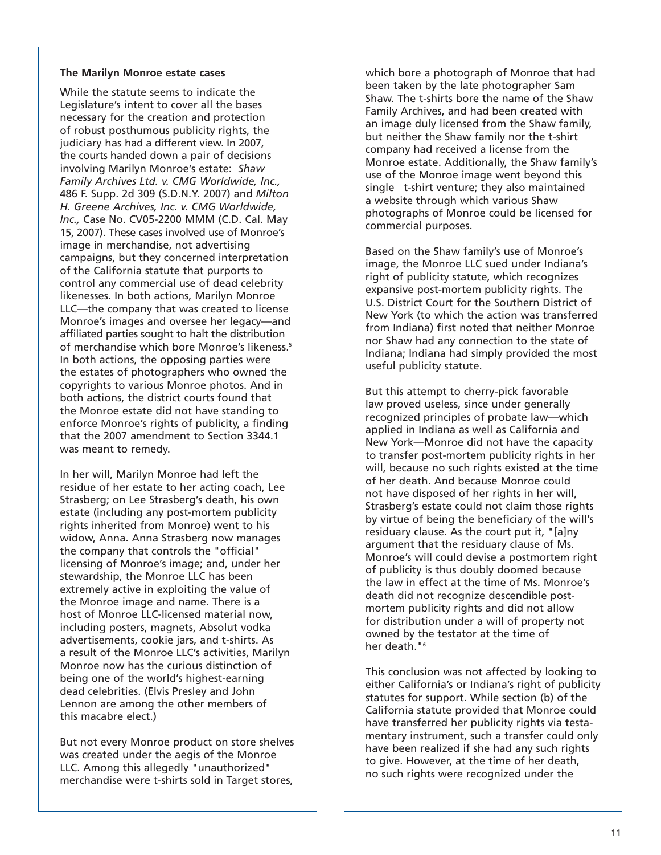#### **The Marilyn Monroe estate cases**

While the statute seems to indicate the Legislature's intent to cover all the bases necessary for the creation and protection of robust posthumous publicity rights, the judiciary has had a different view. In 2007, the courts handed down a pair of decisions involving Marilyn Monroe's estate: *Shaw Family Archives Ltd. v. CMG Worldwide, Inc.,* 486 F. Supp. 2d 309 (S.D.N.Y. 2007) and *Milton H. Greene Archives, Inc. v. CMG Worldwide, Inc.,* Case No. CV05-2200 MMM (C.D. Cal. May 15, 2007). These cases involved use of Monroe's image in merchandise, not advertising campaigns, but they concerned interpretation of the California statute that purports to control any commercial use of dead celebrity likenesses. In both actions, Marilyn Monroe LLC—the company that was created to license Monroe's images and oversee her legacy—and affiliated parties sought to halt the distribution of merchandise which bore Monroe's likeness.<sup>5</sup> In both actions, the opposing parties were the estates of photographers who owned the copyrights to various Monroe photos. And in both actions, the district courts found that the Monroe estate did not have standing to enforce Monroe's rights of publicity, a finding that the 2007 amendment to Section 3344.1 was meant to remedy.

In her will, Marilyn Monroe had left the residue of her estate to her acting coach, Lee Strasberg; on Lee Strasberg's death, his own estate (including any post-mortem publicity rights inherited from Monroe) went to his widow, Anna. Anna Strasberg now manages the company that controls the "official" licensing of Monroe's image; and, under her stewardship, the Monroe LLC has been extremely active in exploiting the value of the Monroe image and name. There is a host of Monroe LLC-licensed material now, including posters, magnets, Absolut vodka advertisements, cookie jars, and t-shirts. As a result of the Monroe LLC's activities, Marilyn Monroe now has the curious distinction of being one of the world's highest-earning dead celebrities. (Elvis Presley and John Lennon are among the other members of this macabre elect.)

But not every Monroe product on store shelves was created under the aegis of the Monroe LLC. Among this allegedly "unauthorized" merchandise were t-shirts sold in Target stores,

which bore a photograph of Monroe that had been taken by the late photographer Sam Shaw. The t-shirts bore the name of the Shaw Family Archives, and had been created with an image duly licensed from the Shaw family, but neither the Shaw family nor the t-shirt company had received a license from the Monroe estate. Additionally, the Shaw family's use of the Monroe image went beyond this single t-shirt venture; they also maintained a website through which various Shaw photographs of Monroe could be licensed for commercial purposes.

Based on the Shaw family's use of Monroe's image, the Monroe LLC sued under Indiana's right of publicity statute, which recognizes expansive post-mortem publicity rights. The U.S. District Court for the Southern District of New York (to which the action was transferred from Indiana) first noted that neither Monroe nor Shaw had any connection to the state of Indiana; Indiana had simply provided the most useful publicity statute.

But this attempt to cherry-pick favorable law proved useless, since under generally recognized principles of probate law—which applied in Indiana as well as California and New York—Monroe did not have the capacity to transfer post-mortem publicity rights in her will, because no such rights existed at the time of her death. And because Monroe could not have disposed of her rights in her will, Strasberg's estate could not claim those rights by virtue of being the beneficiary of the will's residuary clause. As the court put it, "[a]ny argument that the residuary clause of Ms. Monroe's will could devise a postmortem right of publicity is thus doubly doomed because the law in effect at the time of Ms. Monroe's death did not recognize descendible postmortem publicity rights and did not allow for distribution under a will of property not owned by the testator at the time of her death."<sup>6</sup>

This conclusion was not affected by looking to either California's or Indiana's right of publicity statutes for support. While section (b) of the California statute provided that Monroe could have transferred her publicity rights via testamentary instrument, such a transfer could only have been realized if she had any such rights to give. However, at the time of her death, no such rights were recognized under the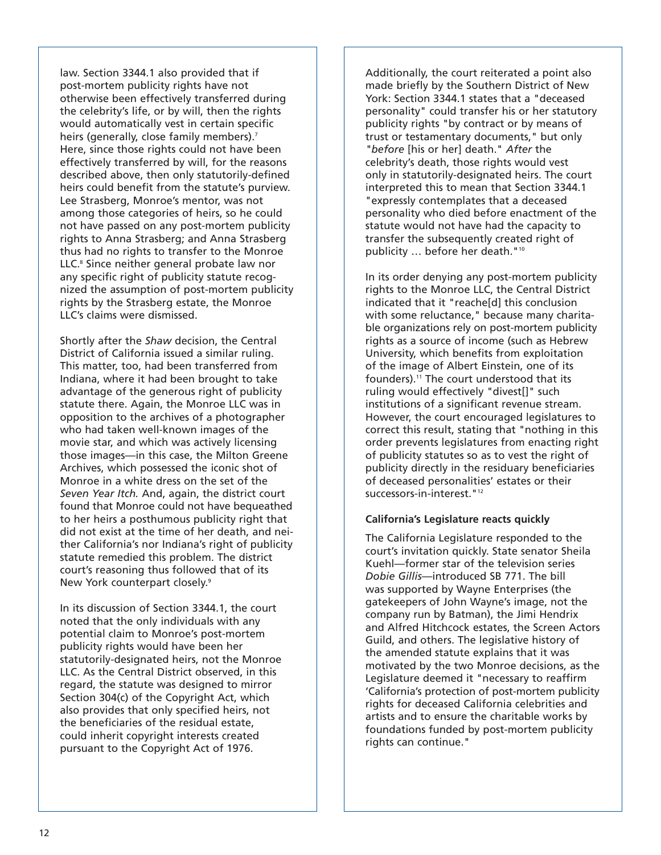law. Section 3344.1 also provided that if post-mortem publicity rights have not otherwise been effectively transferred during the celebrity's life, or by will, then the rights would automatically vest in certain specific heirs (generally, close family members).<sup>7</sup> Here, since those rights could not have been effectively transferred by will, for the reasons described above, then only statutorily-defined heirs could benefit from the statute's purview. Lee Strasberg, Monroe's mentor, was not among those categories of heirs, so he could not have passed on any post-mortem publicity rights to Anna Strasberg; and Anna Strasberg thus had no rights to transfer to the Monroe LLC.<sup>8</sup> Since neither general probate law nor any specific right of publicity statute recognized the assumption of post-mortem publicity rights by the Strasberg estate, the Monroe LLC's claims were dismissed.

Shortly after the *Shaw* decision, the Central District of California issued a similar ruling. This matter, too, had been transferred from Indiana, where it had been brought to take advantage of the generous right of publicity statute there. Again, the Monroe LLC was in opposition to the archives of a photographer who had taken well-known images of the movie star, and which was actively licensing those images—in this case, the Milton Greene Archives, which possessed the iconic shot of Monroe in a white dress on the set of the *Seven Year Itch.* And, again, the district court found that Monroe could not have bequeathed to her heirs a posthumous publicity right that did not exist at the time of her death, and neither California's nor Indiana's right of publicity statute remedied this problem. The district court's reasoning thus followed that of its New York counterpart closely.<sup>9</sup>

In its discussion of Section 3344.1, the court noted that the only individuals with any potential claim to Monroe's post-mortem publicity rights would have been her statutorily-designated heirs, not the Monroe LLC. As the Central District observed, in this regard, the statute was designed to mirror Section 304(c) of the Copyright Act, which also provides that only specified heirs, not the beneficiaries of the residual estate, could inherit copyright interests created pursuant to the Copyright Act of 1976.

Additionally, the court reiterated a point also made briefly by the Southern District of New York: Section 3344.1 states that a "deceased personality" could transfer his or her statutory publicity rights "by contract or by means of trust or testamentary documents," but only *"before* [his or her] death." *After* the celebrity's death, those rights would vest only in statutorily-designated heirs. The court interpreted this to mean that Section 3344.1 "expressly contemplates that a deceased personality who died before enactment of the statute would not have had the capacity to transfer the subsequently created right of publicity … before her death."10

In its order denying any post-mortem publicity rights to the Monroe LLC, the Central District indicated that it "reache[d] this conclusion with some reluctance," because many charitable organizations rely on post-mortem publicity rights as a source of income (such as Hebrew University, which benefits from exploitation of the image of Albert Einstein, one of its founders).<sup>11</sup> The court understood that its ruling would effectively "divest[]" such institutions of a significant revenue stream. However, the court encouraged legislatures to correct this result, stating that "nothing in this order prevents legislatures from enacting right of publicity statutes so as to vest the right of publicity directly in the residuary beneficiaries of deceased personalities' estates or their successors-in-interest."<sup>12</sup>

#### **California's Legislature reacts quickly**

The California Legislature responded to the court's invitation quickly. State senator Sheila Kuehl—former star of the television series *Dobie Gillis*—introduced SB 771. The bill was supported by Wayne Enterprises (the gatekeepers of John Wayne's image, not the company run by Batman), the Jimi Hendrix and Alfred Hitchcock estates, the Screen Actors Guild, and others. The legislative history of the amended statute explains that it was motivated by the two Monroe decisions, as the Legislature deemed it "necessary to reaffirm 'California's protection of post-mortem publicity rights for deceased California celebrities and artists and to ensure the charitable works by foundations funded by post-mortem publicity rights can continue."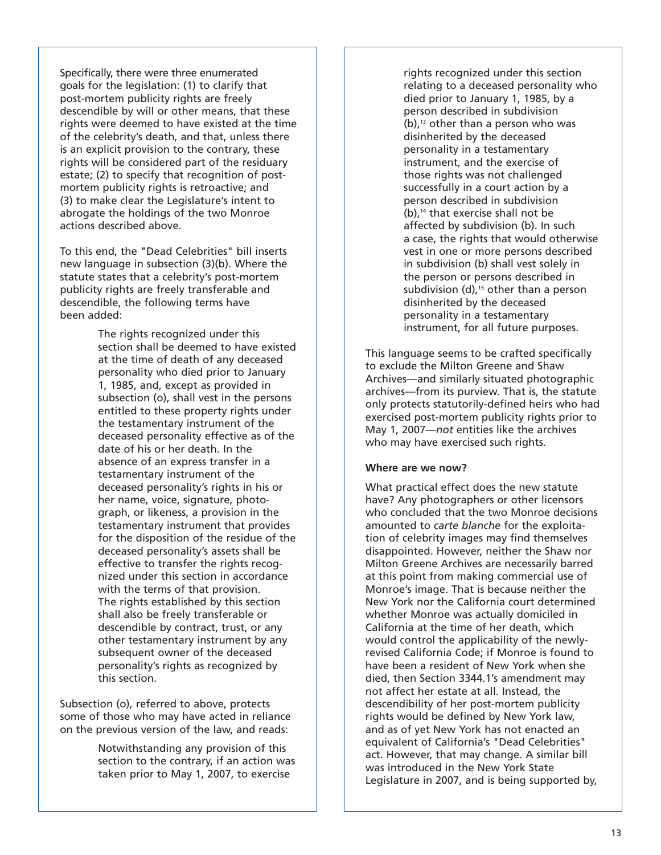Specifically, there were three enumerated goals for the legislation: (1) to clarify that post-mortem publicity rights are freely descendible by will or other means, that these rights were deemed to have existed at the time of the celebrity's death, and that, unless there is an explicit provision to the contrary, these rights will be considered part of the residuary estate; (2) to specify that recognition of postmortem publicity rights is retroactive; and (3) to make clear the Legislature's intent to abrogate the holdings of the two Monroe actions described above.

To this end, the "Dead Celebrities" bill inserts new language in subsection (3)(b). Where the statute states that a celebrity's post-mortem publicity rights are freely transferable and descendible, the following terms have been added:

> The rights recognized under this section shall be deemed to have existed at the time of death of any deceased personality who died prior to January 1, 1985, and, except as provided in subsection (o), shall vest in the persons entitled to these property rights under the testamentary instrument of the deceased personality effective as of the date of his or her death. In the absence of an express transfer in a testamentary instrument of the deceased personality's rights in his or her name, voice, signature, photograph, or likeness, a provision in the testamentary instrument that provides for the disposition of the residue of the deceased personality's assets shall be effective to transfer the rights recognized under this section in accordance with the terms of that provision. The rights established by this section shall also be freely transferable or descendible by contract, trust, or any other testamentary instrument by any subsequent owner of the deceased personality's rights as recognized by this section.

Subsection (o), referred to above, protects some of those who may have acted in reliance on the previous version of the law, and reads:

> Notwithstanding any provision of this section to the contrary, if an action was taken prior to May 1, 2007, to exercise

rights recognized under this section relating to a deceased personality who died prior to January 1, 1985, by a person described in subdivision  $(b)$ ,<sup>13</sup> other than a person who was disinherited by the deceased personality in a testamentary instrument, and the exercise of those rights was not challenged successfully in a court action by a person described in subdivision (b),14 that exercise shall not be affected by subdivision (b). In such a case, the rights that would otherwise vest in one or more persons described in subdivision (b) shall vest solely in the person or persons described in subdivision  $(d)$ ,<sup>15</sup> other than a person disinherited by the deceased personality in a testamentary instrument, for all future purposes.

This language seems to be crafted specifically to exclude the Milton Greene and Shaw Archives—and similarly situated photographic archives—from its purview. That is, the statute only protects statutorily-defined heirs who had exercised post-mortem publicity rights prior to May 1, 2007—*not* entities like the archives who may have exercised such rights.

#### **Where are we now?**

What practical effect does the new statute have? Any photographers or other licensors who concluded that the two Monroe decisions amounted to *carte blanche* for the exploitation of celebrity images may find themselves disappointed. However, neither the Shaw nor Milton Greene Archives are necessarily barred at this point from making commercial use of Monroe's image. That is because neither the New York nor the California court determined whether Monroe was actually domiciled in California at the time of her death, which would control the applicability of the newlyrevised California Code; if Monroe is found to have been a resident of New York when she died, then Section 3344.1's amendment may not affect her estate at all. Instead, the descendibility of her post-mortem publicity rights would be defined by New York law, and as of yet New York has not enacted an equivalent of California's "Dead Celebrities" act. However, that may change. A similar bill was introduced in the New York State Legislature in 2007, and is being supported by,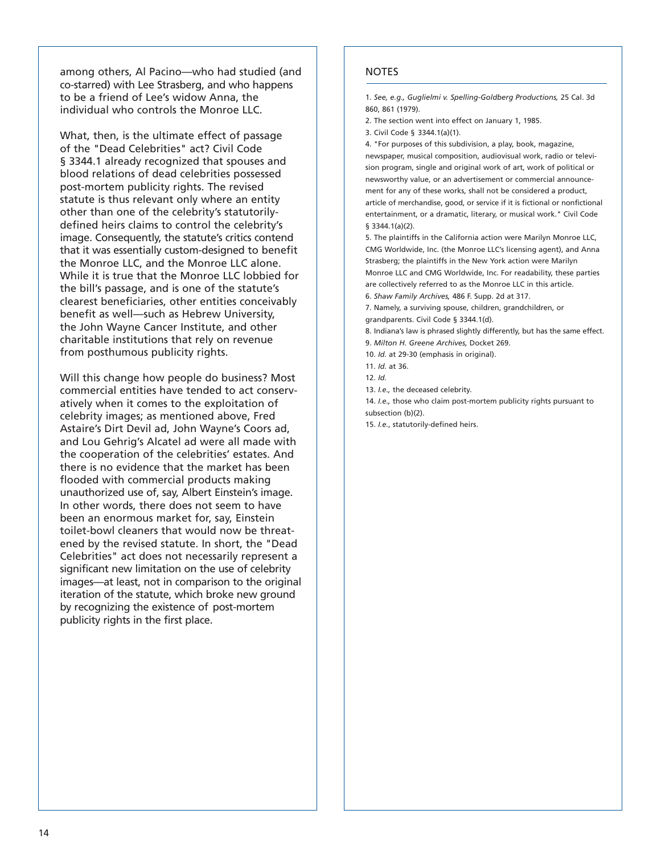among others, Al Pacino—who had studied (and co-starred) with Lee Strasberg, and who happens to be a friend of Lee's widow Anna, the individual who controls the Monroe LLC.

What, then, is the ultimate effect of passage of the "Dead Celebrities" act? Civil Code § 3344.1 already recognized that spouses and blood relations of dead celebrities possessed post-mortem publicity rights. The revised statute is thus relevant only where an entity other than one of the celebrity's statutorilydefined heirs claims to control the celebrity's image. Consequently, the statute's critics contend that it was essentially custom-designed to benefit the Monroe LLC, and the Monroe LLC alone. While it is true that the Monroe LLC lobbied for the bill's passage, and is one of the statute's clearest beneficiaries, other entities conceivably benefit as well—such as Hebrew University, the John Wayne Cancer Institute, and other charitable institutions that rely on revenue from posthumous publicity rights.

Will this change how people do business? Most commercial entities have tended to act conservatively when it comes to the exploitation of celebrity images; as mentioned above, Fred Astaire's Dirt Devil ad, John Wayne's Coors ad, and Lou Gehrig's Alcatel ad were all made with the cooperation of the celebrities' estates. And there is no evidence that the market has been flooded with commercial products making unauthorized use of, say, Albert Einstein's image. In other words, there does not seem to have been an enormous market for, say, Einstein toilet-bowl cleaners that would now be threatened by the revised statute. In short, the "Dead Celebrities" act does not necessarily represent a significant new limitation on the use of celebrity images—at least, not in comparison to the original iteration of the statute, which broke new ground by recognizing the existence of post-mortem publicity rights in the first place.

#### **NOTES**

1. *See, e.g., Guglielmi v. Spelling-Goldberg Productions,* 25 Cal. 3d 860, 861 (1979).

2. The section went into effect on January 1, 1985.

3. Civil Code § 3344.1(a)(1).

4. "For purposes of this subdivision, a play, book, magazine, newspaper, musical composition, audiovisual work, radio or television program, single and original work of art, work of political or newsworthy value, or an advertisement or commercial announcement for any of these works, shall not be considered a product, article of merchandise, good, or service if it is fictional or nonfictional entertainment, or a dramatic, literary, or musical work." Civil Code § 3344.1(a)(2).

5. The plaintiffs in the California action were Marilyn Monroe LLC, CMG Worldwide, Inc. (the Monroe LLC's licensing agent), and Anna Strasberg; the plaintiffs in the New York action were Marilyn Monroe LLC and CMG Worldwide, Inc. For readability, these parties are collectively referred to as the Monroe LLC in this article. 6. *Shaw Family Archives,* 486 F. Supp. 2d at 317.

7. Namely, a surviving spouse, children, grandchildren, or grandparents. Civil Code § 3344.1(d).

8. Indiana's law is phrased slightly differently, but has the same effect. 9. *Milton H. Greene Archives,* Docket 269.

10. *Id.* at 29-30 (emphasis in original).

11. *Id.* at 36.

13. *I.e.,* the deceased celebrity.

14. *I.e.,* those who claim post-mortem publicity rights pursuant to subsection (b)(2).

15. *I.e.*, statutorily-defined heirs.

<sup>12.</sup> *Id.*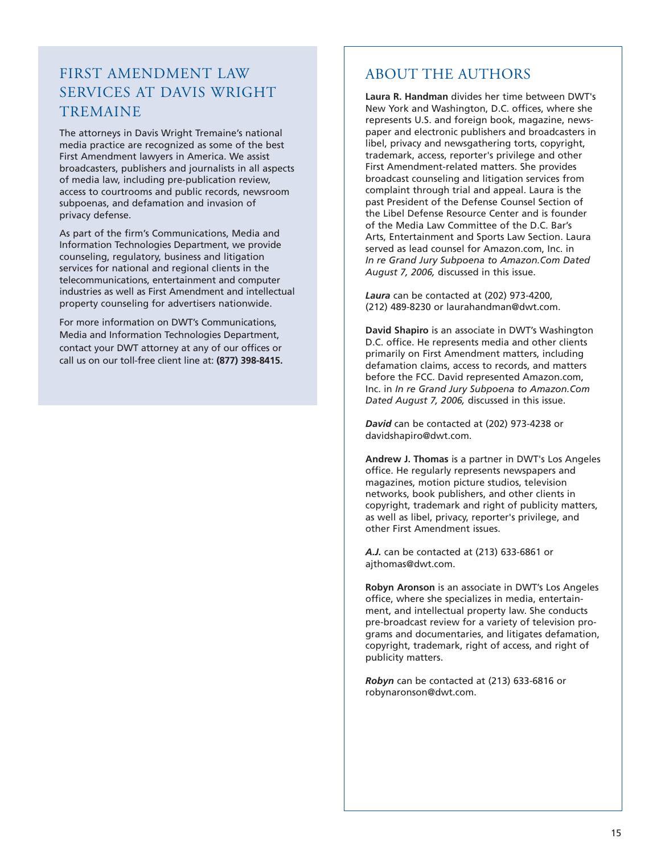# FIRST AMENDMENT LAW SERVICES AT DAVIS WRIGHT TREMAINE

The attorneys in Davis Wright Tremaine's national media practice are recognized as some of the best First Amendment lawyers in America. We assist broadcasters, publishers and journalists in all aspects of media law, including pre-publication review, access to courtrooms and public records, newsroom subpoenas, and defamation and invasion of privacy defense.

As part of the firm's Communications, Media and Information Technologies Department, we provide counseling, regulatory, business and litigation services for national and regional clients in the telecommunications, entertainment and computer industries as well as First Amendment and intellectual property counseling for advertisers nationwide.

For more information on DWT's Communications, Media and Information Technologies Department, contact your DWT attorney at any of our offices or call us on our toll-free client line at: **(877) 398-8415.**

# ABOUT THE AUTHORS

**Laura R. Handman** divides her time between DWT's New York and Washington, D.C. offices, where she represents U.S. and foreign book, magazine, newspaper and electronic publishers and broadcasters in libel, privacy and newsgathering torts, copyright, trademark, access, reporter's privilege and other First Amendment-related matters. She provides broadcast counseling and litigation services from complaint through trial and appeal. Laura is the past President of the Defense Counsel Section of the Libel Defense Resource Center and is founder of the Media Law Committee of the D.C. Bar's Arts, Entertainment and Sports Law Section. Laura served as lead counsel for Amazon.com, Inc. in *In re Grand Jury Subpoena to Amazon.Com Dated August 7, 2006,* discussed in this issue.

*Laura* can be contacted at (202) 973-4200, (212) 489-8230 or laurahandman@dwt.com.

**David Shapiro** is an associate in DWT's Washington D.C. office. He represents media and other clients primarily on First Amendment matters, including defamation claims, access to records, and matters before the FCC. David represented Amazon.com, Inc. in *In re Grand Jury Subpoena to Amazon.Com Dated August 7, 2006,* discussed in this issue.

*David* can be contacted at (202) 973-4238 or davidshapiro@dwt.com.

**Andrew J. Thomas** is a partner in DWT's Los Angeles office. He regularly represents newspapers and magazines, motion picture studios, television networks, book publishers, and other clients in copyright, trademark and right of publicity matters, as well as libel, privacy, reporter's privilege, and other First Amendment issues.

*A.J.* can be contacted at (213) 633-6861 or ajthomas@dwt.com.

**Robyn Aronson** is an associate in DWT's Los Angeles office, where she specializes in media, entertainment, and intellectual property law. She conducts pre-broadcast review for a variety of television programs and documentaries, and litigates defamation, copyright, trademark, right of access, and right of publicity matters.

*Robyn* can be contacted at (213) 633-6816 or robynaronson@dwt.com.